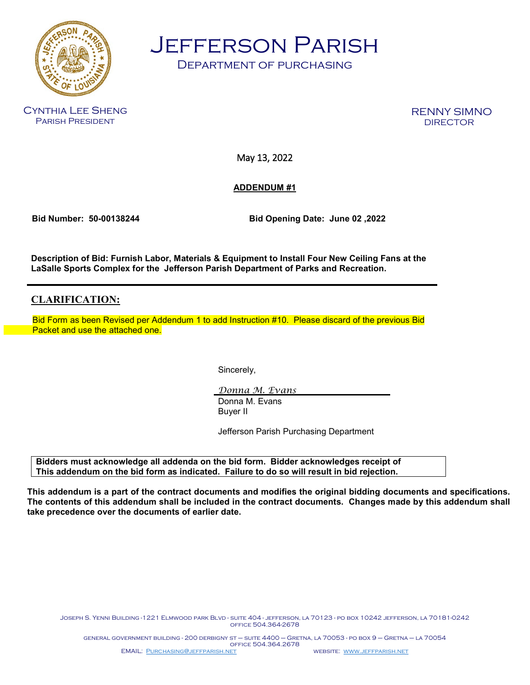

Jefferson Parish

Department of purchasing

Cynthia Lee Sheng Parish President

RENNY SIMNO

May 13, 2022

**ADDENDUM #1**

 **Bid Number: 50-00138244 Bid Opening Date: June 02 ,2022** 

**Description of Bid: Furnish Labor, Materials & Equipment to Install Four New Ceiling Fans at the LaSalle Sports Complex for the Jefferson Parish Department of Parks and Recreation.**

# **CLARIFICATION:**

 Bid Form as been Revised per Addendum 1 to add Instruction #10. Please discard of the previous Bid Packet and use the attached one.

Sincerely,

*Donna M. Evans* Donna M. Evans Buyer II

Jefferson Parish Purchasing Department

**Bidders must acknowledge all addenda on the bid form. Bidder acknowledges receipt of This addendum on the bid form as indicated. Failure to do so will result in bid rejection.**

**This addendum is a part of the contract documents and modifies the original bidding documents and specifications. The contents of this addendum shall be included in the contract documents. Changes made by this addendum shall take precedence over the documents of earlier date.**

Joseph S. Yenni Building -1221 Elmwood park Blvd - suite 404 - jefferson, la 70123 - po box 10242 jefferson, la 70181-0242 office 504.364-2678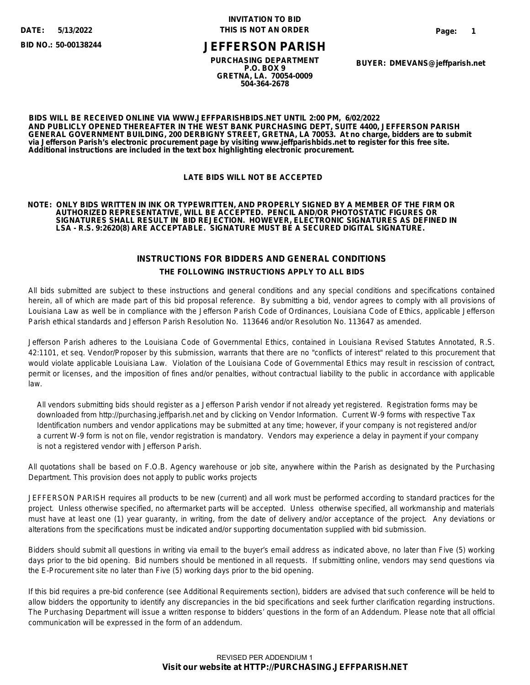**5/13/2022**

**BID NO.: 50-00138244**

## **INVITATION TO BID THIS IS NOT AN ORDER**

# **JEFFERSON PARISH**

**PURCHASING DEPARTMENT P.O. BOX 9 GRETNA, LA. 70054-0009 504-364-2678**

**BUYER: DMEVANS@jeffparish.net**

**BIDS WILL BE RECEIVED ONLINE VIA WWW.JEFFPARISHBIDS.NET UNTIL 2:00 PM, 6/02/2022 AND PUBLICLY OPENED THEREAFTER IN THE WEST BANK PURCHASING DEPT, SUITE 4400, JEFFERSON PARISH GENERAL GOVERNMENT BUILDING, 200 DERBIGNY STREET, GRETNA, LA 70053. At no charge, bidders are to submit via Jefferson Parish's electronic procurement page by visiting www.jeffparishbids.net to register for this free site. Additional instructions are included in the text box highlighting electronic procurement.**

### **LATE BIDS WILL NOT BE ACCEPTED**

#### **NOTE: ONLY BIDS WRITTEN IN INK OR TYPEWRITTEN, AND PROPERLY SIGNED BY A MEMBER OF THE FIRM OR AUTHORIZED REPRESENTATIVE, WILL BE ACCEPTED. PENCIL AND/OR PHOTOSTATIC FIGURES OR SIGNATURES SHALL RESULT IN BID REJECTION. HOWEVER, ELECTRONIC SIGNATURES AS DEFINED IN LSA - R.S. 9:2620(8) ARE ACCEPTABLE. SIGNATURE MUST BE A SECURED DIGITAL SIGNATURE.**

# **INSTRUCTIONS FOR BIDDERS AND GENERAL CONDITIONS THE FOLLOWING INSTRUCTIONS APPLY TO ALL BIDS**

All bids submitted are subject to these instructions and general conditions and any special conditions and specifications contained herein, all of which are made part of this bid proposal reference. By submitting a bid, vendor agrees to comply with all provisions of Louisiana Law as well be in compliance with the Jefferson Parish Code of Ordinances, Louisiana Code of Ethics, applicable Jefferson Parish ethical standards and Jefferson Parish Resolution No. 113646 and/or Resolution No. 113647 as amended.

Jefferson Parish adheres to the Louisiana Code of Governmental Ethics, contained in Louisiana Revised Statutes Annotated, R.S. 42:1101, et seq. Vendor/Proposer by this submission, warrants that there are no "conflicts of interest" related to this procurement that would violate applicable Louisiana Law. Violation of the Louisiana Code of Governmental Ethics may result in rescission of contract, permit or licenses, and the imposition of fines and/or penalties, without contractual liability to the public in accordance with applicable law.

 All vendors submitting bids should register as a Jefferson Parish vendor if not already yet registered. Registration forms may be downloaded from http://purchasing.jeffparish.net and by clicking on Vendor Information. Current W-9 forms with respective Tax Identification numbers and vendor applications may be submitted at any time; however, if your company is not registered and/or a current W-9 form is not on file, vendor registration is mandatory. Vendors may experience a delay in payment if your company is not a registered vendor with Jefferson Parish.

All quotations shall be based on F.O.B. Agency warehouse or job site, anywhere within the Parish as designated by the Purchasing Department. This provision does not apply to public works projects

JEFFERSON PARISH requires all products to be new (current) and all work must be performed according to standard practices for the project. Unless otherwise specified, no aftermarket parts will be accepted. Unless otherwise specified, all workmanship and materials must have at least one (1) year guaranty, in writing, from the date of delivery and/or acceptance of the project. Any deviations or alterations from the specifications must be indicated and/or supporting documentation supplied with bid submission.

Bidders should submit all questions in writing via email to the buyer's email address as indicated above, no later than Five (5) working days prior to the bid opening. Bid numbers should be mentioned in all requests. If submitting online, vendors may send questions via the E-Procurement site no later than Five (5) working days prior to the bid opening.

If this bid requires a pre-bid conference (see Additional Requirements section), bidders are advised that such conference will be held to allow bidders the opportunity to identify any discrepancies in the bid specifications and seek further clarification regarding instructions. The Purchasing Department will issue a written response to bidders' questions in the form of an Addendum. Please note that all official communication will be expressed in the form of an addendum.

### **Visit our website at HTTP://PURCHASING.JEFFPARISH.NET** REVISED PER ADDENDIUM 1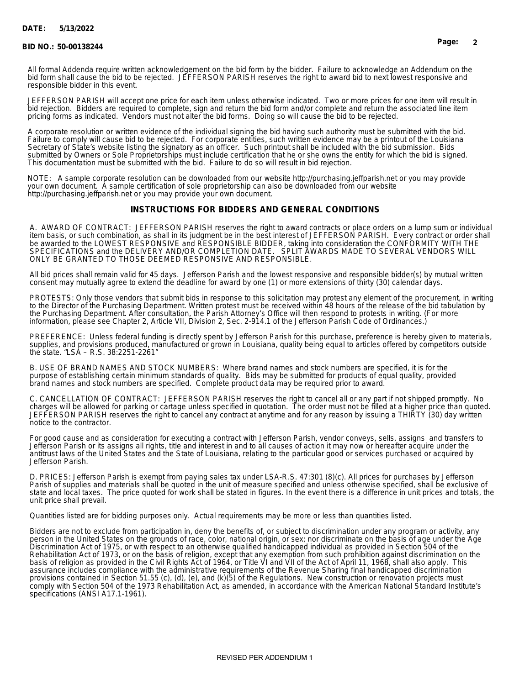#### **DATE: 5/13/2022**

#### **BID NO.: 50-00138244 Page: 2**

All formal Addenda require written acknowledgement on the bid form by the bidder. Failure to acknowledge an Addendum on the bid form shall cause the bid to be rejected. JEFFERSON PARISH reserves the right to award bid to next lowest responsive and responsible bidder in this event.

JEFFERSON PARISH will accept one price for each item unless otherwise indicated. Two or more prices for one item will result in bid rejection. Bidders are required to complete, sign and return the bid form and/or complete and return the associated line item pricing forms as indicated. Vendors must not alter the bid forms. Doing so will cause the bid to be rejected.

A corporate resolution or written evidence of the individual signing the bid having such authority must be submitted with the bid. Failure to comply will cause bid to be rejected. For corporate entities, such written evidence may be a printout of the Louisiana Secretary of State's website listing the signatory as an officer. Such printout shall be included with the bid submission. Bids submitted by Owners or Sole Proprietorships must include certification that he or she owns the entity for which the bid is signed. This documentation must be submitted with the bid. Failure to do so will result in bid rejection.

NOTE: A sample corporate resolution can be downloaded from our website http://purchasing.jeffparish.net or you may provide your own document. A sample certification of sole proprietorship can also be downloaded from our website http://purchasing.jeffparish.net or you may provide your own document.

#### **INSTRUCTIONS FOR BIDDERS AND GENERAL CONDITIONS**

A. AWARD OF CONTRACT: JEFFERSON PARISH reserves the right to award contracts or place orders on a lump sum or individual item basis, or such combination, as shall in its judgment be in the best interest of JEFFERSON PARISH. Every contract or order shall be awarded to the LOWEST RESPONSIVE and RESPONSIBLE BIDDER, taking into consideration the CONFORMITY WITH THE SPECIFICATIONS and the DELIVERY AND/OR COMPLETION DATE. SPLIT AWARDS MADE TO SEVERAL VENDORS WILL ONLY BE GRANTED TO THOSE DEEMED RESPONSIVE AND RESPONSIBLE.

All bid prices shall remain valid for 45 days. Jefferson Parish and the lowest responsive and responsible bidder(s) by mutual written consent may mutually agree to extend the deadline for award by one (1) or more extensions of thirty (30) calendar days.

PROTESTS: Only those vendors that submit bids in response to this solicitation may protest any element of the procurement, in writing to the Director of the Purchasing Department. Written protest must be received within 48 hours of the release of the bid tabulation by the Purchasing Department. After consultation, the Parish Attorney's Office will then respond to protests in writing. (For more information, please see Chapter 2, Article VII, Division 2, Sec. 2-914.1 of the Jefferson Parish Code of Ordinances.)

PREFERENCE: Unless federal funding is directly spent by Jefferson Parish for this purchase, preference is hereby given to materials, supplies, and provisions produced, manufactured or grown in Louisiana, quality being equal to articles offered by competitors outside the state. "LSA – R.S. 38:2251-2261"

B. USE OF BRAND NAMES AND STOCK NUMBERS: Where brand names and stock numbers are specified, it is for the purpose of establishing certain minimum standards of quality. Bids may be submitted for products of equal quality, provided brand names and stock numbers are specified. Complete product data may be required prior to award.

C. CANCELLATION OF CONTRACT: JEFFERSON PARISH reserves the right to cancel all or any part if not shipped promptly. No charges will be allowed for parking or cartage unless specified in quotation. The order must not be filled at a higher price than quoted. JEFFERSON PARISH reserves the right to cancel any contract at anytime and for any reason by issuing a THIRTY (30) day written notice to the contractor.

For good cause and as consideration for executing a contract with Jefferson Parish, vendor conveys, sells, assigns and transfers to Jefferson Parish or its assigns all rights, title and interest in and to all causes of action it may now or hereafter acquire under the antitrust laws of the United States and the State of Louisiana, relating to the particular good or services purchased or acquired by Jefferson Parish.

D. PRICES: Jefferson Parish is exempt from paying sales tax under LSA-R.S. 47:301 (8)(c). All prices for purchases by Jefferson Parish of supplies and materials shall be quoted in the unit of measure specified and unless otherwise specified, shall be exclusive of state and local taxes. The price quoted for work shall be stated in figures. In the event there is a difference in unit prices and totals, the unit price shall prevail.

Quantities listed are for bidding purposes only. Actual requirements may be more or less than quantities listed.

Bidders are not to exclude from participation in, deny the benefits of, or subject to discrimination under any program or activity, any person in the United States on the grounds of race, color, national origin, or sex; nor discriminate on the basis of age under the Age Discrimination Act of 1975, or with respect to an otherwise qualified handicapped individual as provided in Section 504 of the Rehabilitation Act of 1973, or on the basis of religion, except that any exemption from such prohibition against discrimination on the basis of religion as provided in the Civil Rights Act of 1964, or Title VI and VII of the Act of April 11, 1968, shall also apply. This assurance includes compliance with the administrative requirements of the Revenue Sharing final handicapped discrimination provisions contained in Section 51.55 (c), (d), (e), and (k)(5) of the Regulations. New construction or renovation projects must comply with Section 504 of the 1973 Rehabilitation Act, as amended, in accordance with the American National Standard Institute's specifications (ANSI A17.1-1961).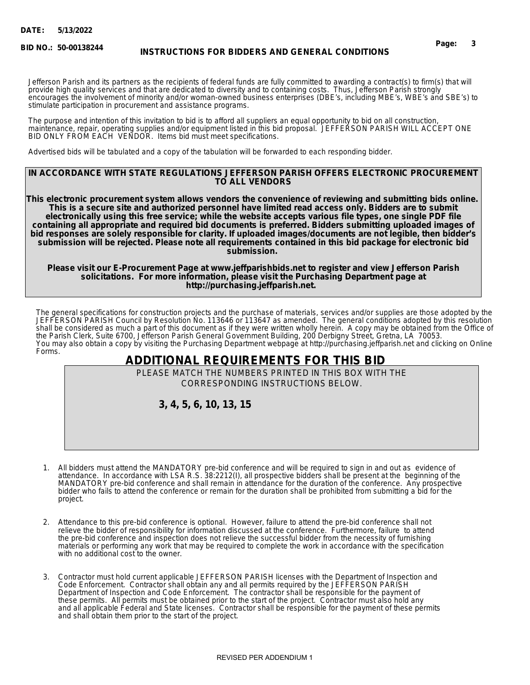**BID NO.:**

# **50-00138244 Page: 3 INSTRUCTIONS FOR BIDDERS AND GENERAL CONDITIONS**

Jefferson Parish and its partners as the recipients of federal funds are fully committed to awarding a contract(s) to firm(s) that will provide high quality services and that are dedicated to diversity and to containing costs. Thus, Jefferson Parish strongly encourages the involvement of minority and/or woman-owned business enterprises (DBE's, including MBE's, WBE's and SBE's) to stimulate participation in procurement and assistance programs.

The purpose and intention of this invitation to bid is to afford all suppliers an equal opportunity to bid on all construction, maintenance, repair, operating supplies and/or equipment listed in this bid proposal. JEFFERSON PARISH WILL ACCEPT ONE BID ONLY FROM EACH VENDOR. Items bid must meet specifications.

Advertised bids will be tabulated and a copy of the tabulation will be forwarded to each responding bidder.

#### **IN ACCORDANCE WITH STATE REGULATIONS JEFFERSON PARISH OFFERS ELECTRONIC PROCUREMENT TO ALL VENDORS**

**This electronic procurement system allows vendors the convenience of reviewing and submitting bids online. This is a secure site and authorized personnel have limited read access only. Bidders are to submit electronically using this free service; while the website accepts various file types, one single PDF file containing all appropriate and required bid documents is preferred. Bidders submitting uploaded images of bid responses are solely responsible for clarity. If uploaded images/documents are not legible, then bidder's submission will be rejected. Please note all requirements contained in this bid package for electronic bid submission.** 

**Please visit our E-Procurement Page at www.jeffparishbids.net to register and view Jefferson Parish solicitations. For more information, please visit the Purchasing Department page at http://purchasing.jeffparish.net.** 

The general specifications for construction projects and the purchase of materials, services and/or supplies are those adopted by the JEFFERSON PARISH Council by Resolution No. 113646 or 113647 as amended. The general conditions adopted by this resolution shall be considered as much a part of this document as if they were written wholly herein. A copy may be obtained from the Office of the Parish Clerk, Suite 6700, Jefferson Parish General Government Building, 200 Derbigny Street, Gretna, LA 70053. You may also obtain a copy by visiting the Purchasing Department webpage at http://purchasing.jeffparish.net and clicking on Online Forms.

# **ADDITIONAL REQUIREMENTS FOR THIS BID**

PLEASE MATCH THE NUMBERS PRINTED IN THIS BOX WITH THE CORRESPONDING INSTRUCTIONS BELOW.

 **3, 4, 5, 6, 10, 13, 15**

- 1. All bidders must attend the MANDATORY pre-bid conference and will be required to sign in and out as evidence of attendance. In accordance with LSA R.S. 38:2212(I), all prospective bidders shall be present at the beginning of the MANDATORY pre-bid conference and shall remain in attendance for the duration of the conference. Any prospective bidder who fails to attend the conference or remain for the duration shall be prohibited from submitting a bid for the project.
- 2. Attendance to this pre-bid conference is optional. However, failure to attend the pre-bid conference shall not relieve the bidder of responsibility for information discussed at the conference. Furthermore, failure to attend the pre-bid conference and inspection does not relieve the successful bidder from the necessity of furnishing materials or performing any work that may be required to complete the work in accordance with the specification with no additional cost to the owner.
- 3. Contractor must hold current applicable JEFFERSON PARISH licenses with the Department of Inspection and Code Enforcement. Contractor shall obtain any and all permits required by the JEFFERSON PARISH Department of Inspection and Code Enforcement. The contractor shall be responsible for the payment of these permits. All permits must be obtained prior to the start of the project. Contractor must also hold any and all applicable Federal and State licenses. Contractor shall be responsible for the payment of these permits and shall obtain them prior to the start of the project.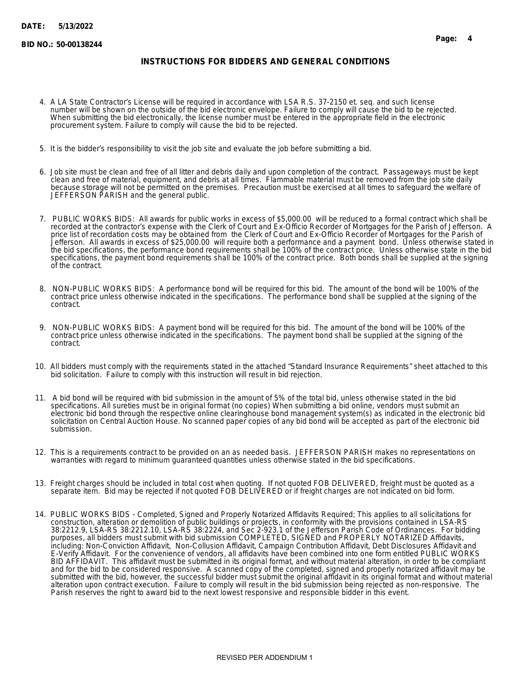### **INSTRUCTIONS FOR BIDDERS AND GENERAL CONDITIONS**

- 4. A LA State Contractor's License will be required in accordance with LSA R.S. 37-2150 et. seq. and such license number will be shown on the outside of the bid electronic envelope. Failure to comply will cause the bid to be rejected. When submitting the bid electronically, the license number must be entered in the appropriate field in the electronic procurement system. Failure to comply will cause the bid to be rejected.
- 5. It is the bidder's responsibility to visit the job site and evaluate the job before submitting a bid.
- 6. Job site must be clean and free of all litter and debris daily and upon completion of the contract. Passageways must be kept clean and free of material, equipment, and debris at all times. Flammable material must be removed from the job site daily because storage will not be permitted on the premises. Precaution must be exercised at all times to safeguard the welfare of JEFFERSON PARISH and the general public.
- 7. PUBLIC WORKS BIDS: All awards for public works in excess of \$5,000.00 will be reduced to a formal contract which shall be recorded at the contractor's expense with the Clerk of Court and Ex-Officio Recorder of Mortgages for the Parish of Jefferson. A price list of recordation costs may be obtained from the Clerk of Court and Ex-Officio Recorder of Mortgages for the Parish of Jefferson. All awards in excess of \$25,000.00 will require both a performance and a payment bond. Unless otherwise stated in the bid specifications, the performance bond requirements shall be 100% of the contract price. Unless otherwise state in the bid specifications, the payment bond requirements shall be 100% of the contract price. Both bonds shall be supplied at the signing of the contract.
- 8. NON-PUBLIC WORKS BIDS: A performance bond will be required for this bid. The amount of the bond will be 100% of the contract price unless otherwise indicated in the specifications. The performance bond shall be supplied at the signing of the contract.
- 9. NON-PUBLIC WORKS BIDS: A payment bond will be required for this bid. The amount of the bond will be 100% of the contract price unless otherwise indicated in the specifications. The payment bond shall be supplied at the signing of the contract.
- 10. All bidders must comply with the requirements stated in the attached "Standard Insurance Requirements" sheet attached to this bid solicitation. Failure to comply with this instruction will result in bid rejection.
- 11. A bid bond will be required with bid submission in the amount of 5% of the total bid, unless otherwise stated in the bid specifications. All sureties must be in original format (no copies) When submitting a bid online, vendors must submit an electronic bid bond through the respective online clearinghouse bond management system(s) as indicated in the electronic bid solicitation on Central Auction House. No scanned paper copies of any bid bond will be accepted as part of the electronic bid submission.
- 12. This is a requirements contract to be provided on an as needed basis. JEFFERSON PARISH makes no representations on warranties with regard to minimum guaranteed quantities unless otherwise stated in the bid specifications.
- 13. Freight charges should be included in total cost when quoting. If not quoted FOB DELIVERED, freight must be quoted as a separate item. Bid may be rejected if not quoted FOB DELIVERED or if freight charges are not indicated on bid form.
- 14. PUBLIC WORKS BIDS Completed, Signed and Properly Notarized Affidavits Required; This applies to all solicitations for construction, alteration or demolition of public buildings or projects, in conformity with the provisions contained in LSA-RS 38:2212.9, LSA-RS 38:2212.10, LSA-RS 38:2224, and Sec 2-923.1 of the Jefferson Parish Code of Ordinances. For bidding purposes, all bidders must submit with bid submission COMPLETED, SIGNED and PROPERLY NOTARIZED Affidavits, including: Non-Conviction Affidavit, Non-Collusion Affidavit, Campaign Contribution Affidavit, Debt Disclosures Affidavit and E-Verify Affidavit. For the convenience of vendors, all affidavits have been combined into one form entitled PUBLIC WORKS BID AFFIDAVIT. This affidavit must be submitted in its original format, and without material alteration, in order to be compliant and for the bid to be considered responsive. A scanned copy of the completed, signed and properly notarized affidavit may be submitted with the bid, however, the successful bidder must submit the original affidavit in its original format and without material alteration upon contract execution. Failure to comply will result in the bid submission being rejected as non-responsive. The Parish reserves the right to award bid to the next lowest responsive and responsible bidder in this event.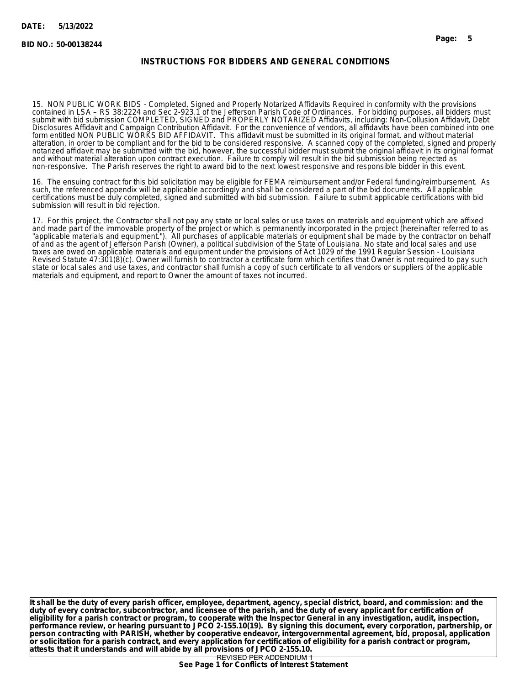## **INSTRUCTIONS FOR BIDDERS AND GENERAL CONDITIONS**

15. NON PUBLIC WORK BIDS - Completed, Signed and Properly Notarized Affidavits Required in conformity with the provisions contained in LSA – RS 38:2224 and Sec 2-923.1 of the Jefferson Parish Code of Ordinances. For bidding purposes, all bidders must submit with bid submission COMPLETED, SIGNED and PROPERLY NOTARIZED Affidavits, including: Non-Collusion Affidavit, Debt Disclosures Affidavit and Campaign Contribution Affidavit. For the convenience of vendors, all affidavits have been combined into one form entitled NON PUBLIC WORKS BID AFFIDAVIT. This affidavit must be submitted in its original format, and without material alteration, in order to be compliant and for the bid to be considered responsive. A scanned copy of the completed, signed and properly notarized affidavit may be submitted with the bid, however, the successful bidder must submit the original affidavit in its original format and without material alteration upon contract execution. Failure to comply will result in the bid submission being rejected as non-responsive. The Parish reserves the right to award bid to the next lowest responsive and responsible bidder in this event.

16. The ensuing contract for this bid solicitation may be eligible for FEMA reimbursement and/or Federal funding/reimbursement. As such, the referenced appendix will be applicable accordingly and shall be considered a part of the bid documents. All applicable certifications must be duly completed, signed and submitted with bid submission. Failure to submit applicable certifications with bid submission will result in bid rejection.

17. For this project, the Contractor shall not pay any state or local sales or use taxes on materials and equipment which are affixed and made part of the immovable property of the project or which is permanently incorporated in the project (hereinafter referred to as "applicable materials and equipment."). All purchases of applicable materials or equipment shall be made by the contractor on behalf of and as the agent of Jefferson Parish (Owner), a political subdivision of the State of Louisiana. No state and local sales and use taxes are owed on applicable materials and equipment under the provisions of Act 1029 of the 1991 Regular Session - Louisiana Revised Statute 47:301(8)(c). Owner will furnish to contractor a certificate form which certifies that Owner is not required to pay such state or local sales and use taxes, and contractor shall furnish a copy of such certificate to all vendors or suppliers of the applicable materials and equipment, and report to Owner the amount of taxes not incurred.

**It shall be the duty of every parish officer, employee, department, agency, special district, board, and commission: and the duty of every contractor, subcontractor, and licensee of the parish, and the duty of every applicant for certification of eligibility for a parish contract or program, to cooperate with the Inspector General in any investigation, audit, inspection, performance review, or hearing pursuant to JPCO 2-155.10(19). By signing this document, every corporation, partnership, or person contracting with PARISH, whether by cooperative endeavor, intergovernmental agreement, bid, proposal, application or solicitation for a parish contract, and every application for certification of eligibility for a parish contract or program, attests that it understands and will abide by all provisions of JPCO 2-155.10.**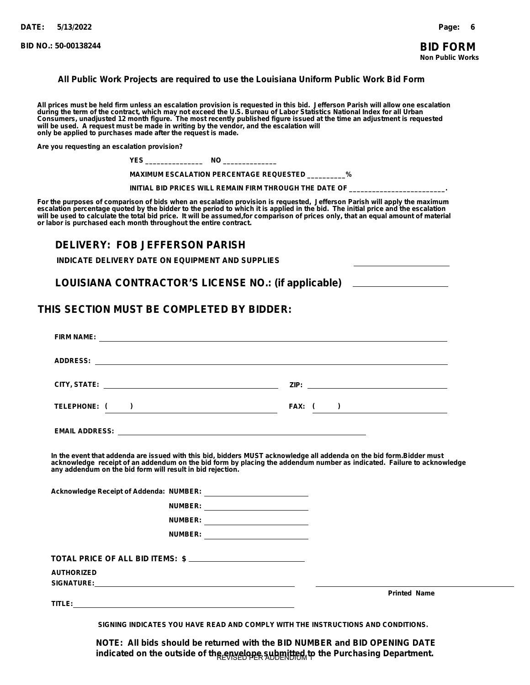#### **All Public Work Projects are required to use the Louisiana Uniform Public Work Bid Form**

**All prices must be held firm unless an escalation provision is requested in this bid. Jefferson Parish will allow one escalation during the term of the contract, which may not exceed the U.S. Bureau of Labor Statistics National Index for all Urban Consumers, unadjusted 12 month figure. The most recently published figure issued at the time an adjustment is requested will be used. A request must be made in writing by the vendor, and the escalation will only be applied to purchases made after the request is made.**

**Are you requesting an escalation provision?**

| NH<br>. . |  |
|-----------|--|
|-----------|--|

 **MAXIMUM ESCALATION PERCENTAGE REQUESTED \_\_\_\_\_\_\_\_\_\_%**

 **INITIAL BID PRICES WILL REMAIN FIRM THROUGH THE DATE OF \_\_\_\_\_\_\_\_\_\_\_\_\_\_\_\_\_\_\_\_\_\_\_\_\_.**

**For the purposes of comparison of bids when an escalation provision is requested, Jefferson Parish will apply the maximum escalation percentage quoted by the bidder to the period to which it is applied in the bid. The initial price and the escalation will be used to calculate the total bid price. It will be assumed,for comparison of prices only, that an equal amount of material or labor is purchased each month throughout the entire contract.**

# **DELIVERY: FOB JEFFERSON PARISH**

**INDICATE DELIVERY DATE ON EQUIPMENT AND SUPPLIES**

**LOUISIANA CONTRACTOR'S LICENSE NO.: (if applicable)**

# **THIS SECTION MUST BE COMPLETED BY BIDDER:**

|                   | FIRM NAME: <u>Andreas Andrew American State of the State of the State of the State of the State of the State of the State of the State of the State of the State of the State of the State of the State of the State of the Stat</u>                                                                         |  |                     |
|-------------------|--------------------------------------------------------------------------------------------------------------------------------------------------------------------------------------------------------------------------------------------------------------------------------------------------------------|--|---------------------|
|                   |                                                                                                                                                                                                                                                                                                              |  |                     |
|                   |                                                                                                                                                                                                                                                                                                              |  |                     |
|                   | TELEPHONE: ( )                                                                                                                                                                                                                                                                                               |  | FAX: $( )$          |
|                   |                                                                                                                                                                                                                                                                                                              |  |                     |
|                   | In the event that addenda are issued with this bid, bidders MUST acknowledge all addenda on the bid form.Bidder must<br>acknowledge receipt of an addendum on the bid form by placing the addendum number as indicated. Failure to acknowledge<br>any addendum on the bid form will result in bid rejection. |  |                     |
|                   |                                                                                                                                                                                                                                                                                                              |  |                     |
|                   | NUMBER: ___________________________                                                                                                                                                                                                                                                                          |  |                     |
|                   | NUMBER: __________________________                                                                                                                                                                                                                                                                           |  |                     |
|                   | NUMBER: ___________________________                                                                                                                                                                                                                                                                          |  |                     |
|                   | TOTAL PRICE OF ALL BID ITEMS: \$                                                                                                                                                                                                                                                                             |  |                     |
| <b>AUTHORIZED</b> |                                                                                                                                                                                                                                                                                                              |  |                     |
|                   |                                                                                                                                                                                                                                                                                                              |  | <b>Printed Name</b> |

**SIGNING INDICATES YOU HAVE READ AND COMPLY WITH THE INSTRUCTIONS AND CONDITIONS.**

**NOTE: All bids should be returned with the BID NUMBER and BID OPENING DATE** indicated on the outside of the envelope submitted to the Purchasing Department.